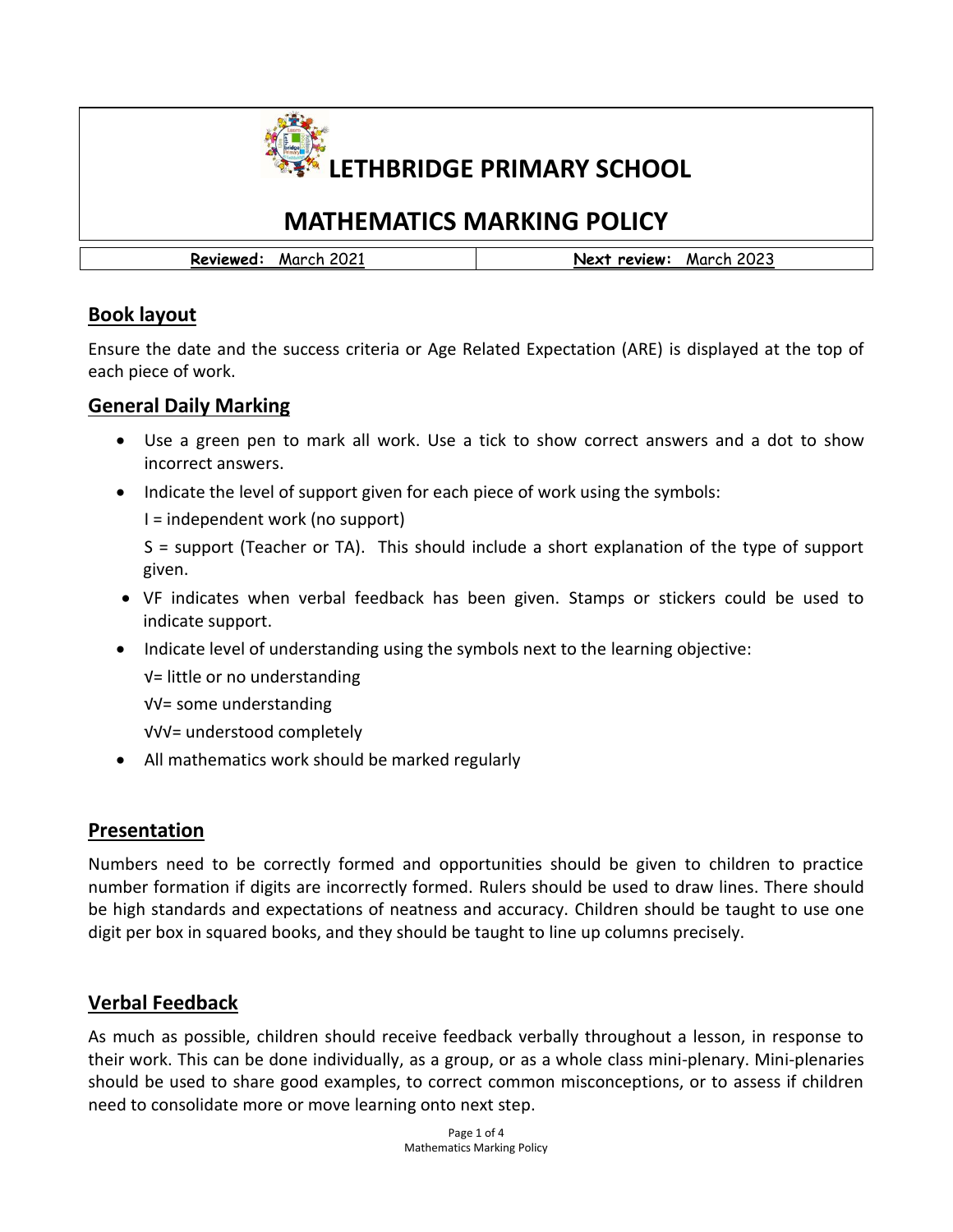

# **MATHEMATICS MARKING POLICY**

**Reviewed:** March 2021 **Next review:** March 2023

# **Book layout**

Ensure the date and the success criteria or Age Related Expectation (ARE) is displayed at the top of each piece of work.

#### **General Daily Marking**

- Use a green pen to mark all work. Use a tick to show correct answers and a dot to show incorrect answers.
- Indicate the level of support given for each piece of work using the symbols:

I = independent work (no support)

S = support (Teacher or TA). This should include a short explanation of the type of support given.

- VF indicates when verbal feedback has been given. Stamps or stickers could be used to indicate support.
- Indicate level of understanding using the symbols next to the learning objective:
	- √= little or no understanding

√√= some understanding

- √√√= understood completely
- All mathematics work should be marked regularly

# **Presentation**

Numbers need to be correctly formed and opportunities should be given to children to practice number formation if digits are incorrectly formed. Rulers should be used to draw lines. There should be high standards and expectations of neatness and accuracy. Children should be taught to use one digit per box in squared books, and they should be taught to line up columns precisely.

# **Verbal Feedback**

As much as possible, children should receive feedback verbally throughout a lesson, in response to their work. This can be done individually, as a group, or as a whole class mini-plenary. Mini-plenaries should be used to share good examples, to correct common misconceptions, or to assess if children need to consolidate more or move learning onto next step.

> Page 1 of 4 Mathematics Marking Policy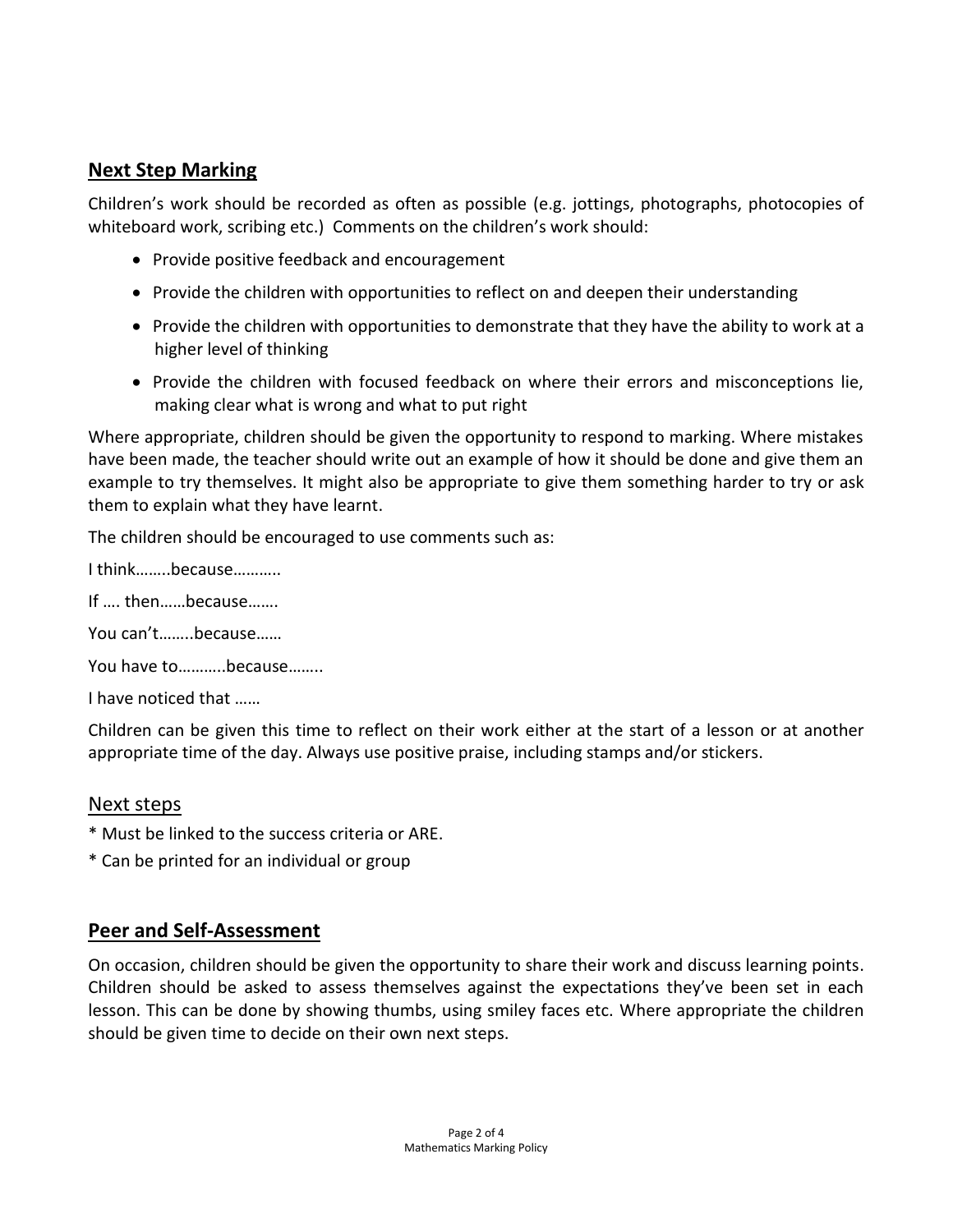### **Next Step Marking**

Children's work should be recorded as often as possible (e.g. jottings, photographs, photocopies of whiteboard work, scribing etc.) Comments on the children's work should:

- Provide positive feedback and encouragement
- Provide the children with opportunities to reflect on and deepen their understanding
- Provide the children with opportunities to demonstrate that they have the ability to work at a higher level of thinking
- Provide the children with focused feedback on where their errors and misconceptions lie, making clear what is wrong and what to put right

Where appropriate, children should be given the opportunity to respond to marking. Where mistakes have been made, the teacher should write out an example of how it should be done and give them an example to try themselves. It might also be appropriate to give them something harder to try or ask them to explain what they have learnt.

The children should be encouraged to use comments such as:

I think……..because………..

If …. then……because…….

You can't……..because……

You have to………..because……..

I have noticed that ……

Children can be given this time to reflect on their work either at the start of a lesson or at another appropriate time of the day. Always use positive praise, including stamps and/or stickers.

#### Next steps

- \* Must be linked to the success criteria or ARE.
- \* Can be printed for an individual or group

#### **Peer and Self-Assessment**

On occasion, children should be given the opportunity to share their work and discuss learning points. Children should be asked to assess themselves against the expectations they've been set in each lesson. This can be done by showing thumbs, using smiley faces etc. Where appropriate the children should be given time to decide on their own next steps.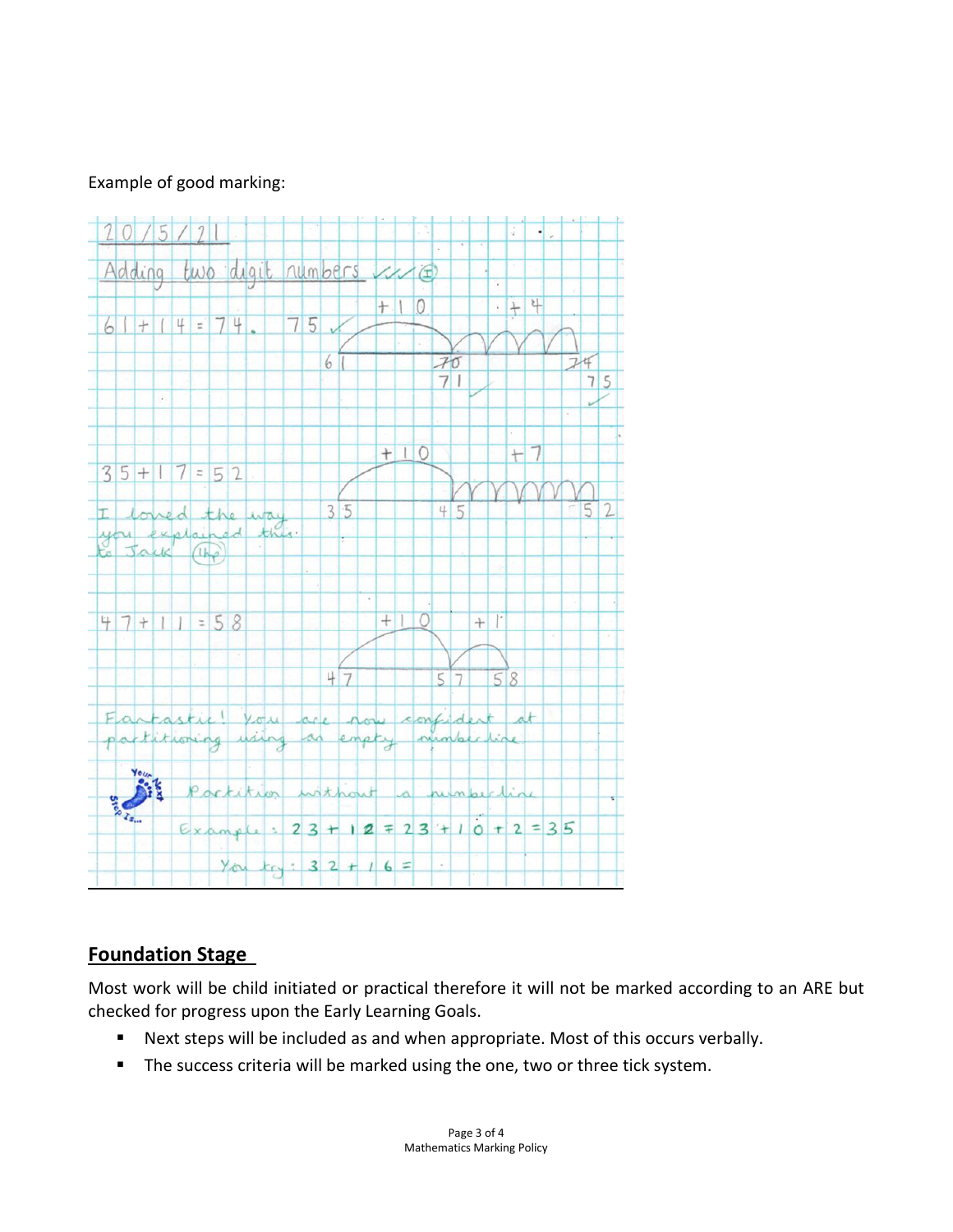#### Example of good marking:



# **Foundation Stage**

Most work will be child initiated or practical therefore it will not be marked according to an ARE but checked for progress upon the Early Learning Goals.

- Next steps will be included as and when appropriate. Most of this occurs verbally.
- The success criteria will be marked using the one, two or three tick system.